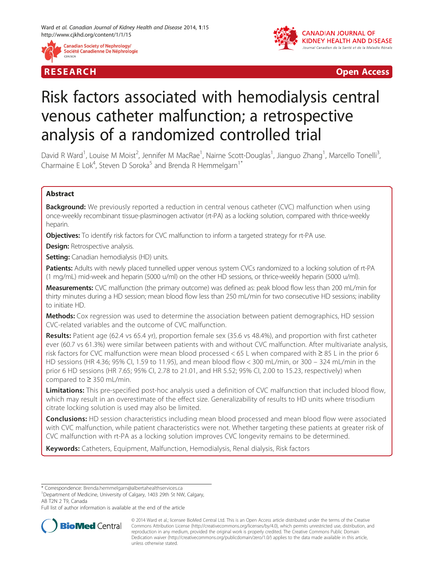





R E S EAR CH Open Access

# Risk factors associated with hemodialysis central venous catheter malfunction; a retrospective analysis of a randomized controlled trial

David R Ward<sup>1</sup>, Louise M Moist<sup>2</sup>, Jennifer M MacRae<sup>1</sup>, Nairne Scott-Douglas<sup>1</sup>, Jianguo Zhang<sup>1</sup>, Marcello Tonelli<sup>3</sup> .<br>. Charmaine E Lok<sup>4</sup>, Steven D Soroka<sup>5</sup> and Brenda R Hemmelgarn<sup>1\*</sup>

# Abstract

**Background:** We previously reported a reduction in central venous catheter (CVC) malfunction when using once-weekly recombinant tissue-plasminogen activator (rt-PA) as a locking solution, compared with thrice-weekly heparin.

Objectives: To identify risk factors for CVC malfunction to inform a targeted strategy for rt-PA use.

**Design:** Retrospective analysis.

**Setting:** Canadian hemodialysis (HD) units.

Patients: Adults with newly placed tunnelled upper venous system CVCs randomized to a locking solution of rt-PA (1 mg/mL) mid-week and heparin (5000 u/ml) on the other HD sessions, or thrice-weekly heparin (5000 u/ml).

Measurements: CVC malfunction (the primary outcome) was defined as: peak blood flow less than 200 mL/min for thirty minutes during a HD session; mean blood flow less than 250 mL/min for two consecutive HD sessions; inability to initiate HD.

Methods: Cox regression was used to determine the association between patient demographics, HD session CVC-related variables and the outcome of CVC malfunction.

Results: Patient age (62.4 vs 65.4 yr), proportion female sex (35.6 vs 48.4%), and proportion with first catheter ever (60.7 vs 61.3%) were similar between patients with and without CVC malfunction. After multivariate analysis, risk factors for CVC malfunction were mean blood processed < 65 L when compared with ≥ 85 L in the prior 6 HD sessions (HR 4.36; 95% CI, 1.59 to 11.95), and mean blood flow < 300 mL/min, or 300 – 324 mL/min in the prior 6 HD sessions (HR 7.65; 95% CI, 2.78 to 21.01, and HR 5.52; 95% CI, 2.00 to 15.23, respectively) when compared to ≥ 350 mL/min.

Limitations: This pre-specified post-hoc analysis used a definition of CVC malfunction that included blood flow, which may result in an overestimate of the effect size. Generalizability of results to HD units where trisodium citrate locking solution is used may also be limited.

**Conclusions:** HD session characteristics including mean blood processed and mean blood flow were associated with CVC malfunction, while patient characteristics were not. Whether targeting these patients at greater risk of CVC malfunction with rt-PA as a locking solution improves CVC longevity remains to be determined.

Keywords: Catheters, Equipment, Malfunction, Hemodialysis, Renal dialysis, Risk factors

\* Correspondence: [Brenda.hemmelgarn@albertahealthservices.ca](mailto:Brenda.hemmelgarn@albertahealthservices.ca) <sup>1</sup>

<sup>1</sup>Department of Medicine, University of Calgary, 1403 29th St NW, Calgary, AB T2N 2 T9, Canada

Full list of author information is available at the end of the article



<sup>© 2014</sup> Ward et al.; licensee BioMed Central Ltd. This is an Open Access article distributed under the terms of the Creative Commons Attribution License [\(http://creativecommons.org/licenses/by/4.0\)](http://creativecommons.org/licenses/by/4.0), which permits unrestricted use, distribution, and reproduction in any medium, provided the original work is properly credited. The Creative Commons Public Domain Dedication waiver [\(http://creativecommons.org/publicdomain/zero/1.0/](http://creativecommons.org/publicdomain/zero/1.0/)) applies to the data made available in this article, unless otherwise stated.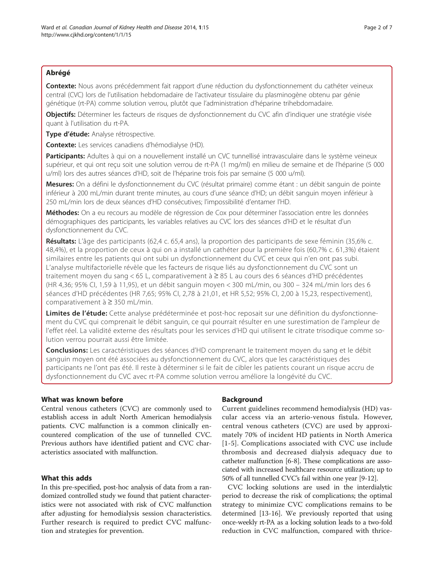Contexte: Nous avons précédemment fait rapport d'une réduction du dysfonctionnement du cathéter veineux central (CVC) lors de l'utilisation hebdomadaire de l'activateur tissulaire du plasminogène obtenu par génie génétique (rt-PA) comme solution verrou, plutôt que l'administration d'héparine trihebdomadaire.

Objectifs: Déterminer les facteurs de risques de dysfonctionnement du CVC afin d'indiquer une stratégie visée quant à l'utilisation du rt-PA.

Type d'étude: Analyse rétrospective.

Contexte: Les services canadiens d'hémodialyse (HD).

Participants: Adultes à qui on a nouvellement installé un CVC tunnellisé intravasculaire dans le système veineux supérieur, et qui ont reçu soit une solution verrou de rt-PA (1 mg/ml) en milieu de semaine et de l'héparine (5 000 u/ml) lors des autres séances d'HD, soit de l'héparine trois fois par semaine (5 000 u/ml).

Mesures: On a défini le dysfonctionnement du CVC (résultat primaire) comme étant : un débit sanguin de pointe inférieur à 200 mL/min durant trente minutes, au cours d'une séance d'HD; un débit sanguin moyen inférieur à 250 mL/min lors de deux séances d'HD consécutives; l'impossibilité d'entamer l'HD.

Méthodes: On a eu recours au modèle de régression de Cox pour déterminer l'association entre les données démographiques des participants, les variables relatives au CVC lors des séances d'HD et le résultat d'un dysfonctionnement du CVC.

Résultats: L'âge des participants (62,4 c. 65,4 ans), la proportion des participants de sexe féminin (35,6% c. 48,4%), et la proportion de ceux à qui on a installé un cathéter pour la première fois (60,7% c. 61,3%) étaient similaires entre les patients qui ont subi un dysfonctionnement du CVC et ceux qui n'en ont pas subi. L'analyse multifactorielle révèle que les facteurs de risque liés au dysfonctionnement du CVC sont un traitement moyen du sang < 65 L, comparativement à ≥ 85 L au cours des 6 séances d'HD précédentes (HR 4,36; 95% CI, 1,59 à 11,95), et un débit sanguin moyen < 300 mL/min, ou 300 – 324 mL/min lors des 6 séances d'HD précédentes (HR 7,65; 95% CI, 2,78 à 21,01, et HR 5,52; 95% CI, 2,00 à 15,23, respectivement), comparativement à ≥ 350 mL/min.

Limites de l'étude: Cette analyse prédéterminée et post-hoc reposait sur une définition du dysfonctionnement du CVC qui comprenait le débit sanguin, ce qui pourrait résulter en une surestimation de l'ampleur de l'effet réel. La validité externe des résultats pour les services d'HD qui utilisent le citrate trisodique comme solution verrou pourrait aussi être limitée.

Conclusions: Les caractéristiques des séances d'HD comprenant le traitement moyen du sang et le débit sanguin moyen ont été associées au dysfonctionnement du CVC, alors que les caractéristiques des participants ne l'ont pas été. Il reste à déterminer si le fait de cibler les patients courant un risque accru de dysfonctionnement du CVC avec rt-PA comme solution verrou améliore la longévité du CVC.

# What was known before

Central venous catheters (CVC) are commonly used to establish access in adult North American hemodialysis patients. CVC malfunction is a common clinically encountered complication of the use of tunnelled CVC. Previous authors have identified patient and CVC characteristics associated with malfunction.

# What this adds

In this pre-specified, post-hoc analysis of data from a randomized controlled study we found that patient characteristics were not associated with risk of CVC malfunction after adjusting for hemodialysis session characteristics. Further research is required to predict CVC malfunction and strategies for prevention.

# Background

Current guidelines recommend hemodialysis (HD) vascular access via an arterio-venous fistula. However, central venous catheters (CVC) are used by approximately 70% of incident HD patients in North America [[1](#page-5-0)-[5](#page-5-0)]. Complications associated with CVC use include thrombosis and decreased dialysis adequacy due to catheter malfunction [\[6-8](#page-5-0)]. These complications are associated with increased healthcare resource utilization; up to 50% of all tunnelled CVC's fail within one year [\[9-12](#page-5-0)].

CVC locking solutions are used in the interdialytic period to decrease the risk of complications; the optimal strategy to minimize CVC complications remains to be determined [\[13](#page-5-0)[-16](#page-6-0)]. We previously reported that using once-weekly rt-PA as a locking solution leads to a two-fold reduction in CVC malfunction, compared with thrice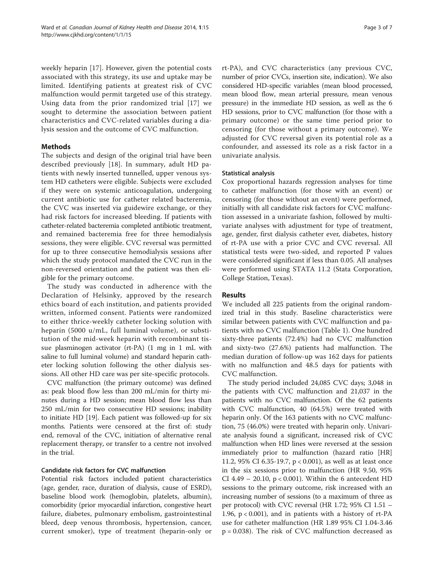weekly heparin [\[17](#page-6-0)]. However, given the potential costs associated with this strategy, its use and uptake may be limited. Identifying patients at greatest risk of CVC malfunction would permit targeted use of this strategy. Using data from the prior randomized trial [[17\]](#page-6-0) we sought to determine the association between patient characteristics and CVC-related variables during a dialysis session and the outcome of CVC malfunction.

# Methods

The subjects and design of the original trial have been described previously [\[18](#page-6-0)]. In summary, adult HD patients with newly inserted tunnelled, upper venous system HD catheters were eligible. Subjects were excluded if they were on systemic anticoagulation, undergoing current antibiotic use for catheter related bacteremia, the CVC was inserted via guidewire exchange, or they had risk factors for increased bleeding. If patients with catheter-related bacteremia completed antibiotic treatment, and remained bacteremia free for three hemodialysis sessions, they were eligible. CVC reversal was permitted for up to three consecutive hemodialysis sessions after which the study protocol mandated the CVC run in the non-reversed orientation and the patient was then eligible for the primary outcome.

The study was conducted in adherence with the Declaration of Helsinky, approved by the research ethics board of each institution, and patients provided written, informed consent. Patients were randomized to either thrice-weekly catheter locking solution with heparin (5000 u/mL, full luminal volume), or substitution of the mid-week heparin with recombinant tissue plasminogen activator (rt-PA) (1 mg in 1 mL with saline to full luminal volume) and standard heparin catheter locking solution following the other dialysis sessions. All other HD care was per site-specific protocols.

CVC malfunction (the primary outcome) was defined as: peak blood flow less than 200 mL/min for thirty minutes during a HD session; mean blood flow less than 250 mL/min for two consecutive HD sessions; inability to initiate HD [[19\]](#page-6-0). Each patient was followed-up for six months. Patients were censored at the first of: study end, removal of the CVC, initiation of alternative renal replacement therapy, or transfer to a centre not involved in the trial.

# Candidate risk factors for CVC malfunction

Potential risk factors included patient characteristics (age, gender, race, duration of dialysis, cause of ESRD), baseline blood work (hemoglobin, platelets, albumin), comorbidity (prior myocardial infarction, congestive heart failure, diabetes, pulmonary embolism, gastrointestinal bleed, deep venous thrombosis, hypertension, cancer, current smoker), type of treatment (heparin-only or rt-PA), and CVC characteristics (any previous CVC, number of prior CVCs, insertion site, indication). We also considered HD-specific variables (mean blood processed, mean blood flow, mean arterial pressure, mean venous pressure) in the immediate HD session, as well as the 6 HD sessions, prior to CVC malfunction (for those with a primary outcome) or the same time period prior to censoring (for those without a primary outcome). We adjusted for CVC reversal given its potential role as a confounder, and assessed its role as a risk factor in a univariate analysis.

## Statistical analysis

Cox proportional hazards regression analyses for time to catheter malfunction (for those with an event) or censoring (for those without an event) were performed, initially with all candidate risk factors for CVC malfunction assessed in a univariate fashion, followed by multivariate analyses with adjustment for type of treatment, age, gender, first dialysis catheter ever, diabetes, history of rt-PA use with a prior CVC and CVC reversal. All statistical tests were two-sided, and reported P values were considered significant if less than 0.05. All analyses were performed using STATA 11.2 (Stata Corporation, College Station, Texas).

## Results

We included all 225 patients from the original randomized trial in this study. Baseline characteristics were similar between patients with CVC malfunction and patients with no CVC malfunction (Table [1\)](#page-3-0). One hundred sixty-three patients (72.4%) had no CVC malfunction and sixty-two (27.6%) patients had malfunction. The median duration of follow-up was 162 days for patients with no malfunction and 48.5 days for patients with CVC malfunction.

The study period included 24,085 CVC days; 3,048 in the patients with CVC malfunction and 21,037 in the patients with no CVC malfunction. Of the 62 patients with CVC malfunction, 40 (64.5%) were treated with heparin only. Of the 163 patients with no CVC malfunction, 75 (46.0%) were treated with heparin only. Univariate analysis found a significant, increased risk of CVC malfunction when HD lines were reversed at the session immediately prior to malfunction (hazard ratio [HR] 11.2, 95% CI 6.35-19.7, p < 0.001), as well as at least once in the six sessions prior to malfunction (HR 9.50, 95% CI 4.49 – 20.10,  $p < 0.001$ ). Within the 6 antecedent HD sessions to the primary outcome, risk increased with an increasing number of sessions (to a maximum of three as per protocol) with CVC reversal (HR 1.72; 95% CI 1.51 – 1.96,  $p < 0.001$ ), and in patients with a history of rt-PA use for catheter malfunction (HR 1.89 95% CI 1.04-3.46 p = 0.038). The risk of CVC malfunction decreased as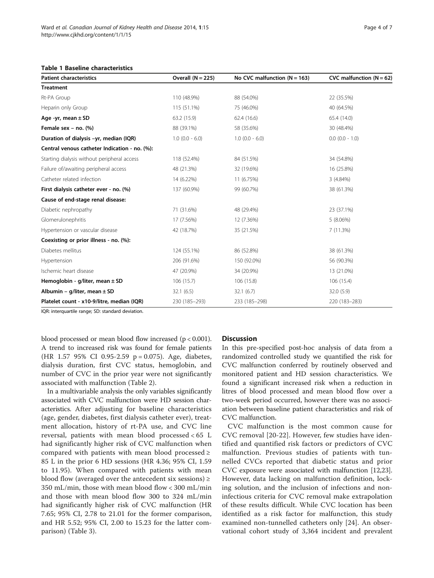<span id="page-3-0"></span>

| <b>Patient characteristics</b>                | Overall $(N = 225)$ | No CVC malfunction ( $N = 163$ ) | CVC malfunction ( $N = 62$ ) |
|-----------------------------------------------|---------------------|----------------------------------|------------------------------|
| <b>Treatment</b>                              |                     |                                  |                              |
| Rt-PA Group                                   | 110 (48.9%)         | 88 (54.0%)                       | 22 (35.5%)                   |
| Heparin only Group                            | 115 (51.1%)         | 75 (46.0%)                       | 40 (64.5%)                   |
| Age -yr, mean $\pm$ SD                        | 63.2 (15.9)         | 62.4(16.6)                       | 65.4 (14.0)                  |
| Female sex $-$ no. $(\%)$                     | 88 (39.1%)          | 58 (35.6%)                       | 30 (48.4%)                   |
| Duration of dialysis -yr, median (IQR)        | $1.0$ (0.0 - 6.0)   | $1.0$ (0.0 - 6.0)                | $0.0$ (0.0 - 1.0)            |
| Central venous catheter Indication - no. (%): |                     |                                  |                              |
| Starting dialysis without peripheral access   | 118 (52.4%)         | 84 (51.5%)                       | 34 (54.8%)                   |
| Failure of/awaiting peripheral access         | 48 (21.3%)          | 32 (19.6%)                       | 16 (25.8%)                   |
| Catheter related infection                    | 14 (6.22%)          | 11 (6.75%)                       | 3(4.84%)                     |
| First dialysis catheter ever - no. (%)        | 137 (60.9%)         | 99 (60.7%)                       | 38 (61.3%)                   |
| Cause of end-stage renal disease:             |                     |                                  |                              |
| Diabetic nephropathy                          | 71 (31.6%)          | 48 (29.4%)                       | 23 (37.1%)                   |
| Glomerulonephritis                            | 17 (7.56%)          | 12 (7.36%)                       | 5(8.06%)                     |
| Hypertension or vascular disease              | 42 (18.7%)          | 35 (21.5%)                       | 7(11.3%)                     |
| Coexisting or prior illness - no. (%):        |                     |                                  |                              |
| Diabetes mellitus                             | 124 (55.1%)         | 86 (52.8%)                       | 38 (61.3%)                   |
| Hypertension                                  | 206 (91.6%)         | 150 (92.0%)                      | 56 (90.3%)                   |
| Ischemic heart disease                        | 47 (20.9%)          | 34 (20.9%)                       | 13 (21.0%)                   |
| Hemoglobin - g/liter, mean $\pm$ SD           | 106(15.7)           | 106 (15.8)                       | 106 (15.4)                   |
| Albumin – g/liter, mean $\pm$ SD              | 32.1(6.5)           | 32.1(6.7)                        | 32.0(5.9)                    |
| Platelet count - x10-9/litre, median (IQR)    | 230 (185-293)       | 233 (185-298)                    | 220 (183-283)                |

IQR: interquartile range; SD: standard deviation.

blood processed or mean blood flow increased (p < 0.001). A trend to increased risk was found for female patients (HR 1.57 95% CI 0.95-2.59 p = 0.075). Age, diabetes, dialysis duration, first CVC status, hemoglobin, and number of CVC in the prior year were not significantly associated with malfunction (Table [2](#page-4-0)).

In a multivariable analysis the only variables significantly associated with CVC malfunction were HD session characteristics. After adjusting for baseline characteristics (age, gender, diabetes, first dialysis catheter ever), treatment allocation, history of rt-PA use, and CVC line reversal, patients with mean blood processed < 65 L had significantly higher risk of CVC malfunction when compared with patients with mean blood processed ≥ 85 L in the prior 6 HD sessions (HR 4.36; 95% CI, 1.59 to 11.95). When compared with patients with mean blood flow (averaged over the antecedent six sessions)  $\geq$ 350 mL/min, those with mean blood flow < 300 mL/min and those with mean blood flow 300 to 324 mL/min had significantly higher risk of CVC malfunction (HR 7.65; 95% CI, 2.78 to 21.01 for the former comparison, and HR 5.52; 95% CI, 2.00 to 15.23 for the latter comparison) (Table [3](#page-4-0)).

## **Discussion**

In this pre-specified post-hoc analysis of data from a randomized controlled study we quantified the risk for CVC malfunction conferred by routinely observed and monitored patient and HD session characteristics. We found a significant increased risk when a reduction in litres of blood processed and mean blood flow over a two-week period occurred, however there was no association between baseline patient characteristics and risk of CVC malfunction.

CVC malfunction is the most common cause for CVC removal [[20](#page-6-0)-[22](#page-6-0)]. However, few studies have identified and quantified risk factors or predictors of CVC malfunction. Previous studies of patients with tunnelled CVCs reported that diabetic status and prior CVC exposure were associated with malfunction [\[12,](#page-5-0)[23](#page-6-0)]. However, data lacking on malfunction definition, locking solution, and the inclusion of infections and noninfectious criteria for CVC removal make extrapolation of these results difficult. While CVC location has been identified as a risk factor for malfunction, this study examined non-tunnelled catheters only [\[24](#page-6-0)]. An observational cohort study of 3,364 incident and prevalent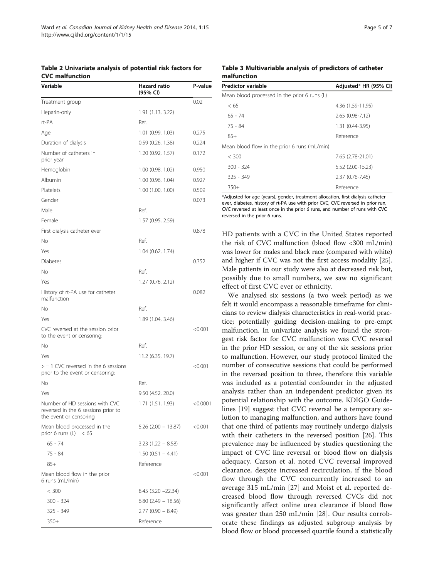<span id="page-4-0"></span>Table 2 Univariate analysis of potential risk factors for CVC malfunction

| Variable                                                                                        | <b>Hazard ratio</b><br>(95% CI) | P-value  |
|-------------------------------------------------------------------------------------------------|---------------------------------|----------|
| Treatment group                                                                                 |                                 | 0.02     |
| Heparin-only                                                                                    | 1.91 (1.13, 3.22)               |          |
| rt-PA                                                                                           | Ref.                            |          |
| Age                                                                                             | 1.01(0.99, 1.03)                | 0.275    |
| Duration of dialysis                                                                            | 0.59(0.26, 1.38)                | 0.224    |
| Number of catheters in<br>prior year                                                            | 1.20 (0.92, 1.57)               | 0.172    |
| Hemoglobin                                                                                      | 1.00 (0.98, 1.02)               | 0.950    |
| Albumin                                                                                         | 1.00 (0.96, 1.04)               | 0.927    |
| Platelets                                                                                       | 1.00 (1.00, 1.00)               | 0.509    |
| Gender                                                                                          |                                 | 0.073    |
| Male                                                                                            | Ref.                            |          |
| Female                                                                                          | 1.57 (0.95, 2.59)               |          |
| First dialysis catheter ever                                                                    |                                 | 0.878    |
| No                                                                                              | Ref.                            |          |
| Yes                                                                                             | 1.04 (0.62, 1.74)               |          |
| Diabetes                                                                                        |                                 | 0.352    |
| No                                                                                              | Ref.                            |          |
| Yes                                                                                             | 1.27 (0.76, 2.12)               |          |
| History of rt-PA use for catheter<br>malfunction                                                |                                 | 0.082    |
| Νo                                                                                              | Ref.                            |          |
| Yes                                                                                             | 1.89 (1.04, 3.46)               |          |
| CVC reversed at the session prior<br>to the event or censoring:                                 |                                 | < 0.001  |
| No                                                                                              | Ref.                            |          |
| Yes                                                                                             | 11.2 (6.35, 19.7)               |          |
| $>$ = 1 CVC reversed in the 6 sessions<br>prior to the event or censoring:                      |                                 | < 0.001  |
| No                                                                                              | Ref.                            |          |
| Yes                                                                                             | 9.50 (4.52, 20.0)               |          |
| Number of HD sessions with CVC<br>reversed in the 6 sessions prior to<br>the event or censoring | 1.71 (1.51, 1.93)               | < 0.0001 |
| Mean blood processed in the<br>prior 6 runs (L) $< 65$                                          | 5.26 (2.00 - 13.87)             | < 0.001  |
| $65 - 74$                                                                                       | $3.23(1.22 - 8.58)$             |          |
| 75 - 84                                                                                         | $1.50(0.51 - 4.41)$             |          |
| $85+$                                                                                           | Reference                       |          |
| Mean blood flow in the prior<br>6 runs (mL/min)                                                 |                                 | < 0.001  |
| < 300                                                                                           | $8.45$ $(3.20 - 22.34)$         |          |
| 300 - 324                                                                                       | $6.80$ (2.49 – 18.56)           |          |
| 325 - 349                                                                                       | $2.77(0.90 - 8.49)$             |          |
| $350+$                                                                                          | Reference                       |          |

|             | Table 3 Multivariable analysis of predictors of catheter |  |  |
|-------------|----------------------------------------------------------|--|--|
| malfunction |                                                          |  |  |

| Predictor variable                           | Adjusted* HR (95% CI) |  |
|----------------------------------------------|-----------------------|--|
| Mean blood processed in the prior 6 runs (L) |                       |  |
| < 65                                         | 4.36 (1.59-11.95)     |  |
| $65 - 74$                                    | 2.65 (0.98-7.12)      |  |
| $75 - 84$                                    | $1.31(0.44 - 3.95)$   |  |
| $85+$                                        | Reference             |  |
| Mean blood flow in the prior 6 runs (mL/min) |                       |  |
| < 300                                        | 7.65 (2.78-21.01)     |  |
| $300 - 324$                                  | 5.52 (2.00-15.23)     |  |
| $325 - 349$                                  | 2.37 (0.76-7.45)      |  |
| $350+$                                       | Reference             |  |

\*Adjusted for age (years), gender, treatment allocation, first dialysis catheter ever, diabetes, history of rt-PA use with prior CVC, CVC reversed in prior run, CVC reversed at least once in the prior 6 runs, and number of runs with CVC reversed in the prior 6 runs.

HD patients with a CVC in the United States reported the risk of CVC malfunction (blood flow <300 mL/min) was lower for males and black race (compared with white) and higher if CVC was not the first access modality [[25](#page-6-0)]. Male patients in our study were also at decreased risk but, possibly due to small numbers, we saw no significant effect of first CVC ever or ethnicity.

We analysed six sessions (a two week period) as we felt it would encompass a reasonable timeframe for clinicians to review dialysis characteristics in real-world practice; potentially guiding decision-making to pre-empt malfunction. In univariate analysis we found the strongest risk factor for CVC malfunction was CVC reversal in the prior HD session, or any of the six sessions prior to malfunction. However, our study protocol limited the number of consecutive sessions that could be performed in the reversed position to three, therefore this variable was included as a potential confounder in the adjusted analysis rather than an independent predictor given its potential relationship with the outcome. KDIGO Guidelines [\[19](#page-6-0)] suggest that CVC reversal be a temporary solution to managing malfunction, and authors have found that one third of patients may routinely undergo dialysis with their catheters in the reversed position [[26\]](#page-6-0). This prevalence may be influenced by studies questioning the impact of CVC line reversal or blood flow on dialysis adequacy. Carson et al. noted CVC reversal improved clearance, despite increased recirculation, if the blood flow through the CVC concurrently increased to an average 315 mL/min [[27\]](#page-6-0) and Moist et al. reported decreased blood flow through reversed CVCs did not significantly affect online urea clearance if blood flow was greater than 250 mL/min [\[28](#page-6-0)]. Our results corroborate these findings as adjusted subgroup analysis by blood flow or blood processed quartile found a statistically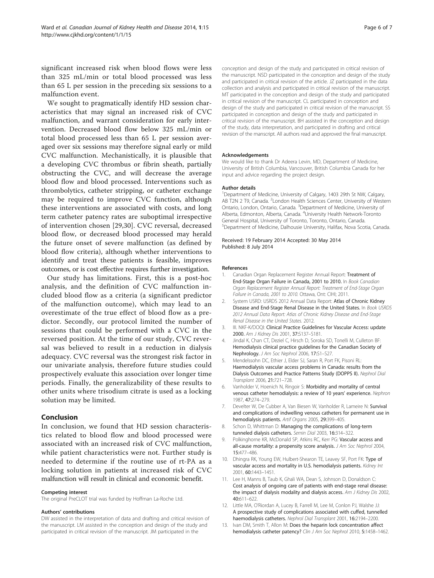<span id="page-5-0"></span>significant increased risk when blood flows were less than 325 mL/min or total blood processed was less than 65 L per session in the preceding six sessions to a malfunction event.

We sought to pragmatically identify HD session characteristics that may signal an increased risk of CVC malfunction, and warrant consideration for early intervention. Decreased blood flow below 325 mL/min or total blood processed less than 65 L per session averaged over six sessions may therefore signal early or mild CVC malfunction. Mechanistically, it is plausible that a developing CVC thrombus or fibrin sheath, partially obstructing the CVC, and will decrease the average blood flow and blood processed. Interventions such as thrombolytics, catheter stripping, or catheter exchange may be required to improve CVC function, although these interventions are associated with costs, and long term catheter patency rates are suboptimal irrespective of intervention chosen [[29,30\]](#page-6-0). CVC reversal, decreased blood flow, or decreased blood processed may herald the future onset of severe malfunction (as defined by blood flow criteria), although whether interventions to identify and treat these patients is feasible, improves outcomes, or is cost effective requires further investigation.

Our study has limitations. First, this is a post-hoc analysis, and the definition of CVC malfunction included blood flow as a criteria (a significant predictor of the malfunction outcome), which may lead to an overestimate of the true effect of blood flow as a predictor. Secondly, our protocol limited the number of sessions that could be performed with a CVC in the reversed position. At the time of our study, CVC reversal was believed to result in a reduction in dialysis adequacy. CVC reversal was the strongest risk factor in our univariate analysis, therefore future studies could prospectively evaluate this association over longer time periods. Finally, the generalizability of these results to other units where trisodium citrate is used as a locking solution may be limited.

## Conclusion

In conclusion, we found that HD session characteristics related to blood flow and blood processed were associated with an increased risk of CVC malfunction, while patient characteristics were not. Further study is needed to determine if the routine use of rt-PA as a locking solution in patients at increased risk of CVC malfunction will result in clinical and economic benefit.

#### Competing interest

The original PreCLOT trial was funded by Hoffman La-Roche Ltd.

#### Authors' contributions

DW assisted in the interpretation of data and drafting and critical revision of the manuscript. LM assisted in the conception and design of the study and participated in critical revision of the manuscript. JM participated in the

conception and design of the study and participated in critical revision of the manuscript. NSD participated in the conception and design of the study and participated in critical revision of the article. JZ participated in the data collection and analysis and participated in critical revision of the manuscript. MT participated in the conception and design of the study and participated in critical revision of the manuscript. CL participated in conception and design of the study and participated in critical revision of the manuscript. SS participated in conception and design of the study and participated in critical revision of the manuscript. BH assisted in the conception and design of the study, data interpretation, and participated in drafting and critical revision of the manscript. All authors read and approved the final manuscript.

#### Acknowledgements

We would like to thank Dr Adeera Levin, MD, Department of Medicine, University of British Columbia, Vancouver, British Columbia Canada for her input and advice regarding the project design.

#### Author details

<sup>1</sup>Department of Medicine, University of Calgary, 1403 29th St NW, Calgary, AB T2N 2 T9, Canada. <sup>2</sup> London Health Sciences Center, University of Western Ontario, London, Ontario, Canada. <sup>3</sup>Department of Medicine, University of Alberta, Edmonton, Alberta, Canada. <sup>4</sup>University Health Network-Toronto General Hospital, University of Toronto, Toronto, Ontario, Canada. 5 Department of Medicine, Dalhousie University, Halifax, Nova Scotia, Canada.

Received: 19 February 2014 Accepted: 30 May 2014 Published: 8 July 2014

#### References

- Canadian Organ Replacement Register Annual Report: Treatment of End-Stage Organ Failure in Canada, 2001 to 2010. In Book Canadian Organ Replacement Register Annual Report: Treatment of End-Stage Organ Failure in Canada, 2001 to 2010. Ottawa, Ont: CIHI; 2011.
- 2. System USRD: USRDS 2012 Annual Data Report: Atlas of Chronic Kidney Disease and End-Stage Renal Disease in the United States. In Book USRDS 2012 Annual Data Report: Atlas of Chronic Kidney Disease and End-Stage Renal Disease in the United States. 2012.
- 3. III. NKF-K/DOQI: Clinical Practice Guidelines for Vascular Access: update 2000. Am J Kidney Dis 2001, 37:S137–S181.
- Jindal K, Chan CT, Deziel C, Hirsch D, Soroka SD, Tonelli M, Culleton BF: Hemodialysis clinical practice guidelines for the Canadian Society of Nephrology. J Am Soc Nephrol 2006, 17:S1–S27.
- 5. Mendelssohn DC, Ethier J, Elder SJ, Saran R, Port FK, Pisoni RL: Haemodialysis vascular access problems in Canada: results from the Dialysis Outcomes and Practice Patterns Study (DOPPS II). Nephrol Dial Transplant 2006, 21:721–728.
- 6. Vanholder V, Hoenich N, Ringoir S: Morbidity and mortality of central venous catheter hemodialysis: a review of 10 years' experience. Nephron 1987, 47:274–279.
- 7. Develter W, De Cubber A, Van Biesen W, Vanholder R, Lameire N: Survival and complications of indwelling venous catheters for permanent use in hemodialysis patients. Artif Organs 2005, 29:399–405.
- 8. Schon D, Whittman D: Managing the complications of long-term tunneled dialysis catheters. Semin Dial 2003, 16:314–322.
- 9. Polkinghorne KR, McDonald SP, Atkins RC, Kerr PG: Vascular access and all-cause mortality: a propensity score analysis. J Am Soc Nephrol 2004, 15:477–486.
- 10. Dhingra RK, Young EW, Hulbert-Shearon TE, Leavey SF, Port FK: Type of vascular access and mortality in U.S. hemodialysis patients. Kidney Int 2001, 60:1443–1451.
- 11. Lee H, Manns B, Taub K, Ghali WA, Dean S, Johnson D, Donaldson C: Cost analysis of ongoing care of patients with end-stage renal disease: the impact of dialysis modality and dialysis access. Am J Kidney Dis 2002, 40:611–622.
- 12. Little MA, O'Riordan A, Lucey B, Farrell M, Lee M, Conlon PJ, Walshe JJ: A prospective study of complications associated with cuffed, tunnelled haemodialysis catheters. Nephrol Dial Transplant 2001, 16:2194–2200.
- 13. Ivan DM, Smith T, Allon M: Does the heparin lock concentration affect hemodialysis catheter patency? Clin J Am Soc Nephrol 2010, 5:1458-1462.